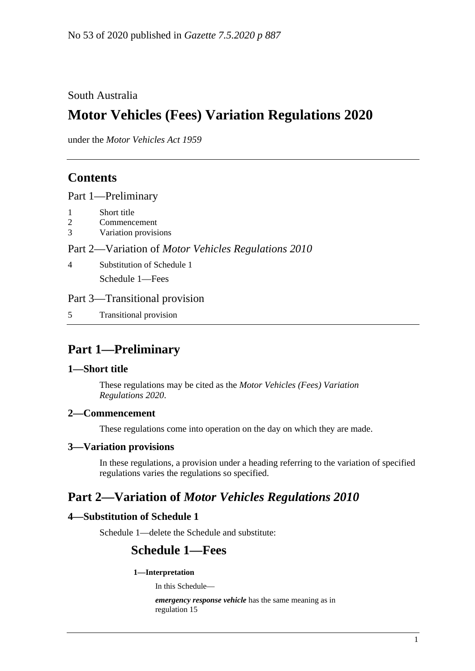## South Australia

# **Motor Vehicles (Fees) Variation Regulations 2020**

under the *Motor Vehicles Act 1959*

# **Contents**

Part [1—Preliminary](#page-0-0)

- 1 [Short title](#page-0-1)
- 2 [Commencement](#page-0-2)
- 3 [Variation provisions](#page-0-3)

## Part 2—Variation of *[Motor Vehicles Regulations](#page-0-4) 2010*

4 [Substitution of Schedule 1](#page-0-5) Schedule 1—Fees

## Part [3—Transitional provision](#page-11-0)

5 [Transitional provision](#page-11-1)

# <span id="page-0-0"></span>**Part 1—Preliminary**

## <span id="page-0-1"></span>**1—Short title**

These regulations may be cited as the *Motor Vehicles (Fees) Variation Regulations 2020*.

## <span id="page-0-2"></span>**2—Commencement**

These regulations come into operation on the day on which they are made.

## <span id="page-0-3"></span>**3—Variation provisions**

In these regulations, a provision under a heading referring to the variation of specified regulations varies the regulations so specified.

## <span id="page-0-4"></span>**Part 2—Variation of** *Motor Vehicles Regulations 2010*

## <span id="page-0-5"></span>**4—Substitution of Schedule 1**

Schedule 1—delete the Schedule and substitute:

## **Schedule 1—Fees**

### **1—Interpretation**

In this Schedule—

*emergency response vehicle* has the same meaning as in regulation 15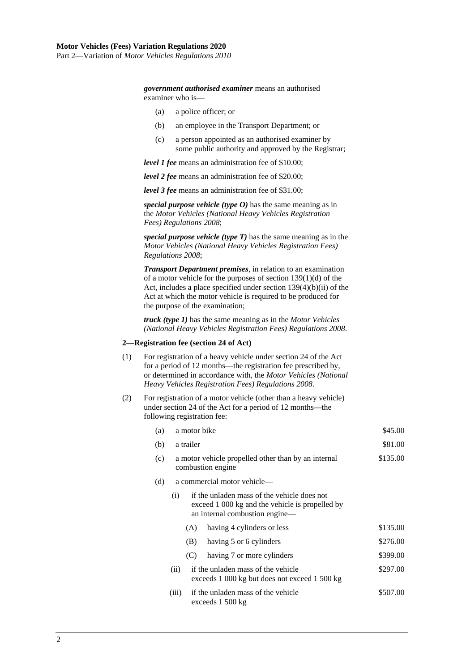*government authorised examiner* means an authorised examiner who is—

- (a) a police officer; or
- (b) an employee in the Transport Department; or
- (c) a person appointed as an authorised examiner by some public authority and approved by the Registrar;

*level 1 fee* means an administration fee of \$10.00;

*level 2 fee* means an administration fee of \$20.00;

*level 3 fee* means an administration fee of \$31.00;

*special purpose vehicle (type O)* has the same meaning as in the *[Motor Vehicles \(National Heavy Vehicles Registration](http://www.legislation.sa.gov.au/index.aspx?action=legref&type=subordleg&legtitle=Motor%20Vehicles%20(National%20Heavy%20Vehicles%20Registration%20Fees)%20Regulations%202008)  [Fees\) Regulations](http://www.legislation.sa.gov.au/index.aspx?action=legref&type=subordleg&legtitle=Motor%20Vehicles%20(National%20Heavy%20Vehicles%20Registration%20Fees)%20Regulations%202008) 2008*;

*special purpose vehicle (type T)* has the same meaning as in the *[Motor Vehicles \(National Heavy Vehicles Registration Fees\)](http://www.legislation.sa.gov.au/index.aspx?action=legref&type=subordleg&legtitle=Motor%20Vehicles%20(National%20Heavy%20Vehicles%20Registration%20Fees)%20Regulations%202008) [Regulations](http://www.legislation.sa.gov.au/index.aspx?action=legref&type=subordleg&legtitle=Motor%20Vehicles%20(National%20Heavy%20Vehicles%20Registration%20Fees)%20Regulations%202008) 2008*;

*Transport Department premises*, in relation to an examination of a motor vehicle for the purposes of section 139(1)(d) of the Act, includes a place specified under section 139(4)(b)(ii) of the Act at which the motor vehicle is required to be produced for the purpose of the examination;

*truck (type 1)* has the same meaning as in the *[Motor Vehicles](http://www.legislation.sa.gov.au/index.aspx?action=legref&type=subordleg&legtitle=Motor%20Vehicles%20(National%20Heavy%20Vehicles%20Registration%20Fees)%20Regulations%202008)  [\(National Heavy Vehicles Registration Fees\) Regulations](http://www.legislation.sa.gov.au/index.aspx?action=legref&type=subordleg&legtitle=Motor%20Vehicles%20(National%20Heavy%20Vehicles%20Registration%20Fees)%20Regulations%202008) 2008*.

#### **2—Registration fee (section 24 of Act)**

- (1) For registration of a heavy vehicle under section 24 of the Act for a period of 12 months—the registration fee prescribed by, or determined in accordance with, the *[Motor Vehicles \(National](http://www.legislation.sa.gov.au/index.aspx?action=legref&type=subordleg&legtitle=Motor%20Vehicles%20(National%20Heavy%20Vehicles%20Registration%20Fees)%20Regulations%202008)  [Heavy Vehicles Registration Fees\) Regulations](http://www.legislation.sa.gov.au/index.aspx?action=legref&type=subordleg&legtitle=Motor%20Vehicles%20(National%20Heavy%20Vehicles%20Registration%20Fees)%20Regulations%202008) 2008*.
- (2) For registration of a motor vehicle (other than a heavy vehicle) under section 24 of the Act for a period of 12 months—the following registration fee:

| (a) | a motor bike | \$45.00 |
|-----|--------------|---------|
|     |              |         |

- (b) a trailer  $$81.00$ (c) a motor vehicle propelled other than by an internal combustion engine \$135.00 (d) a commercial motor vehicle— (i) if the unladen mass of the vehicle does not
	- exceed 1 000 kg and the vehicle is propelled by an internal combustion engine—
		- (A) having 4 cylinders or less  $$135.00$
		- (B) having 5 or 6 cylinders  $$276.00$
		- (C) having 7 or more cylinders \$399.00
	- (ii) if the unladen mass of the vehicle exceeds 1 000 kg but does not exceed 1 500 kg \$297.00
	- (iii) if the unladen mass of the vehicle exceeds 1 500 kg \$507.00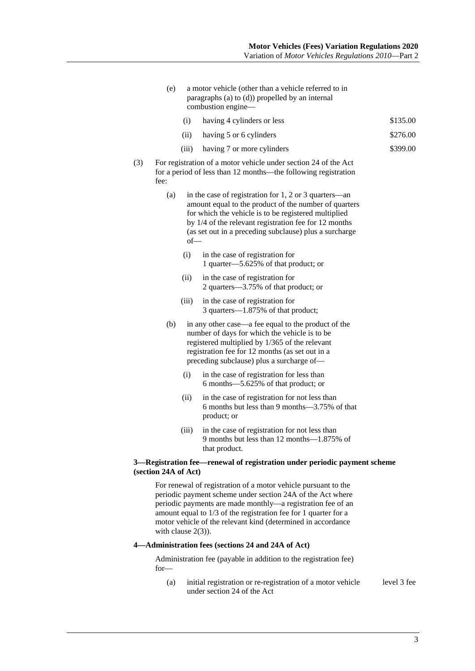- (e) a motor vehicle (other than a vehicle referred to in paragraphs (a) to (d)) propelled by an internal combustion engine—
	- (i) having 4 cylinders or less  $$135.00$
	- (ii) having 5 or 6 cylinders  $$276.00$
	- (iii) having 7 or more cylinders \$399.00
- (3) For registration of a motor vehicle under section 24 of the Act for a period of less than 12 months—the following registration fee:
	- (a) in the case of registration for 1, 2 or 3 quarters—an amount equal to the product of the number of quarters for which the vehicle is to be registered multiplied by 1/4 of the relevant registration fee for 12 months (as set out in a preceding subclause) plus a surcharge of—
		- (i) in the case of registration for 1 quarter—5.625% of that product; or
		- (ii) in the case of registration for 2 quarters—3.75% of that product; or
		- (iii) in the case of registration for 3 quarters—1.875% of that product;
	- (b) in any other case—a fee equal to the product of the number of days for which the vehicle is to be registered multiplied by 1/365 of the relevant registration fee for 12 months (as set out in a preceding subclause) plus a surcharge of—
		- (i) in the case of registration for less than 6 months—5.625% of that product; or
		- (ii) in the case of registration for not less than 6 months but less than 9 months—3.75% of that product; or
		- (iii) in the case of registration for not less than 9 months but less than 12 months—1.875% of that product.

### **3—Registration fee—renewal of registration under periodic payment scheme (section 24A of Act)**

For renewal of registration of a motor vehicle pursuant to the periodic payment scheme under section 24A of the Act where periodic payments are made monthly—a registration fee of an amount equal to 1/3 of the registration fee for 1 quarter for a motor vehicle of the relevant kind (determined in accordance with clause 2(3)).

### **4—Administration fees (sections 24 and 24A of Act)**

Administration fee (payable in addition to the registration fee) for—

(a) initial registration or re-registration of a motor vehicle under section 24 of the Act level 3 fee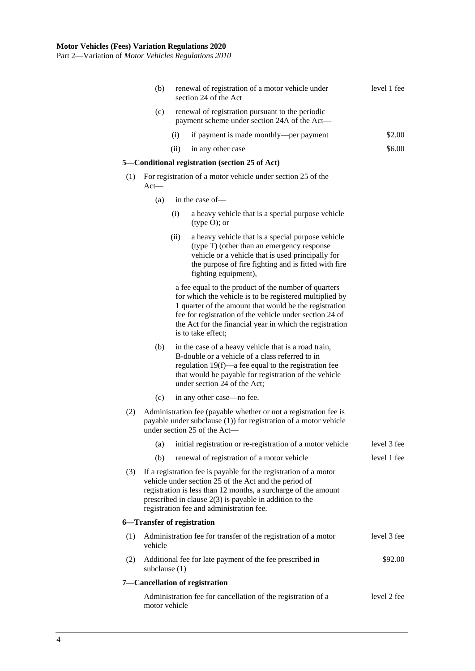|     | (b)             |      | renewal of registration of a motor vehicle under<br>section 24 of the Act                                                                                                                                                                                                                                              | level 1 fee |
|-----|-----------------|------|------------------------------------------------------------------------------------------------------------------------------------------------------------------------------------------------------------------------------------------------------------------------------------------------------------------------|-------------|
|     | (c)             |      | renewal of registration pursuant to the periodic<br>payment scheme under section 24A of the Act—                                                                                                                                                                                                                       |             |
|     |                 | (i)  | if payment is made monthly—per payment                                                                                                                                                                                                                                                                                 | \$2.00      |
|     |                 | (ii) | in any other case                                                                                                                                                                                                                                                                                                      | \$6.00      |
|     |                 |      | 5—Conditional registration (section 25 of Act)                                                                                                                                                                                                                                                                         |             |
| (1) | $Act$ —         |      | For registration of a motor vehicle under section 25 of the                                                                                                                                                                                                                                                            |             |
|     | (a)             |      | in the case of-                                                                                                                                                                                                                                                                                                        |             |
|     |                 | (i)  | a heavy vehicle that is a special purpose vehicle<br>$(type O)$ ; or                                                                                                                                                                                                                                                   |             |
|     |                 | (ii) | a heavy vehicle that is a special purpose vehicle<br>(type T) (other than an emergency response<br>vehicle or a vehicle that is used principally for<br>the purpose of fire fighting and is fitted with fire<br>fighting equipment),                                                                                   |             |
|     |                 |      | a fee equal to the product of the number of quarters<br>for which the vehicle is to be registered multiplied by<br>1 quarter of the amount that would be the registration<br>fee for registration of the vehicle under section 24 of<br>the Act for the financial year in which the registration<br>is to take effect; |             |
|     | (b)             |      | in the case of a heavy vehicle that is a road train,<br>B-double or a vehicle of a class referred to in<br>regulation 19(f)—a fee equal to the registration fee<br>that would be payable for registration of the vehicle<br>under section 24 of the Act;                                                               |             |
|     | (c)             |      | in any other case—no fee.                                                                                                                                                                                                                                                                                              |             |
| (2) |                 |      | Administration fee (payable whether or not a registration fee is<br>payable under subclause (1)) for registration of a motor vehicle<br>under section 25 of the Act—                                                                                                                                                   |             |
|     | (a)             |      | initial registration or re-registration of a motor vehicle                                                                                                                                                                                                                                                             | level 3 fee |
|     | (b)             |      | renewal of registration of a motor vehicle                                                                                                                                                                                                                                                                             | level 1 fee |
| (3) |                 |      | If a registration fee is payable for the registration of a motor<br>vehicle under section 25 of the Act and the period of<br>registration is less than 12 months, a surcharge of the amount<br>prescribed in clause $2(3)$ is payable in addition to the<br>registration fee and administration fee.                   |             |
|     |                 |      | 6-Transfer of registration                                                                                                                                                                                                                                                                                             |             |
| (1) | vehicle         |      | Administration fee for transfer of the registration of a motor                                                                                                                                                                                                                                                         | level 3 fee |
| (2) | subclause $(1)$ |      | Additional fee for late payment of the fee prescribed in                                                                                                                                                                                                                                                               | \$92.00     |
|     |                 |      | 7-Cancellation of registration                                                                                                                                                                                                                                                                                         |             |
|     | motor vehicle   |      | Administration fee for cancellation of the registration of a                                                                                                                                                                                                                                                           | level 2 fee |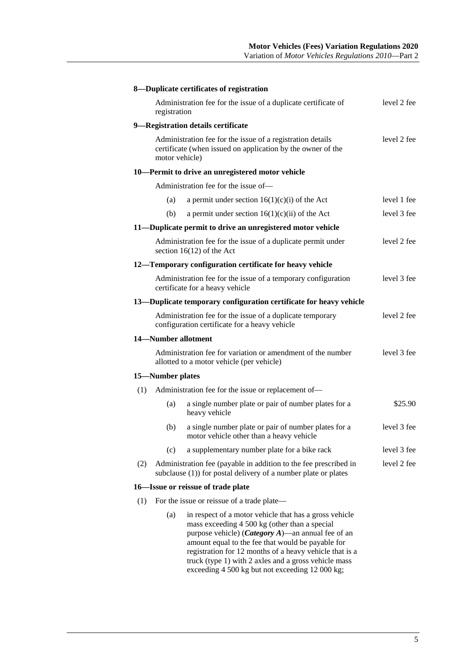|     |                     | 8-Duplicate certificates of registration                                                                                                                                                                                                                                                                                                      |             |
|-----|---------------------|-----------------------------------------------------------------------------------------------------------------------------------------------------------------------------------------------------------------------------------------------------------------------------------------------------------------------------------------------|-------------|
|     | registration        | Administration fee for the issue of a duplicate certificate of                                                                                                                                                                                                                                                                                | level 2 fee |
|     |                     | 9-Registration details certificate                                                                                                                                                                                                                                                                                                            |             |
|     | motor vehicle)      | Administration fee for the issue of a registration details<br>certificate (when issued on application by the owner of the                                                                                                                                                                                                                     | level 2 fee |
|     |                     | 10-Permit to drive an unregistered motor vehicle                                                                                                                                                                                                                                                                                              |             |
|     |                     | Administration fee for the issue of-                                                                                                                                                                                                                                                                                                          |             |
|     | (a)                 | a permit under section $16(1)(c)(i)$ of the Act                                                                                                                                                                                                                                                                                               | level 1 fee |
|     | (b)                 | a permit under section $16(1)(c)(ii)$ of the Act                                                                                                                                                                                                                                                                                              | level 3 fee |
|     |                     | 11-Duplicate permit to drive an unregistered motor vehicle                                                                                                                                                                                                                                                                                    |             |
|     |                     | Administration fee for the issue of a duplicate permit under<br>section $16(12)$ of the Act                                                                                                                                                                                                                                                   | level 2 fee |
|     |                     | 12—Temporary configuration certificate for heavy vehicle                                                                                                                                                                                                                                                                                      |             |
|     |                     | Administration fee for the issue of a temporary configuration<br>certificate for a heavy vehicle                                                                                                                                                                                                                                              | level 3 fee |
|     |                     | 13—Duplicate temporary configuration certificate for heavy vehicle                                                                                                                                                                                                                                                                            |             |
|     |                     | Administration fee for the issue of a duplicate temporary<br>configuration certificate for a heavy vehicle                                                                                                                                                                                                                                    | level 2 fee |
|     | 14-Number allotment |                                                                                                                                                                                                                                                                                                                                               |             |
|     |                     | Administration fee for variation or amendment of the number<br>allotted to a motor vehicle (per vehicle)                                                                                                                                                                                                                                      | level 3 fee |
|     | 15-Number plates    |                                                                                                                                                                                                                                                                                                                                               |             |
| (1) |                     | Administration fee for the issue or replacement of-                                                                                                                                                                                                                                                                                           |             |
|     | (a)                 | a single number plate or pair of number plates for a<br>heavy vehicle                                                                                                                                                                                                                                                                         | \$25.90     |
|     | (b)                 | a single number plate or pair of number plates for a<br>motor vehicle other than a heavy vehicle                                                                                                                                                                                                                                              | level 3 fee |
|     | (c)                 | a supplementary number plate for a bike rack                                                                                                                                                                                                                                                                                                  | level 3 fee |
| (2) |                     | Administration fee (payable in addition to the fee prescribed in<br>subclause (1)) for postal delivery of a number plate or plates                                                                                                                                                                                                            | level 2 fee |
|     |                     | 16-Issue or reissue of trade plate                                                                                                                                                                                                                                                                                                            |             |
| (1) |                     | For the issue or reissue of a trade plate—                                                                                                                                                                                                                                                                                                    |             |
|     | (a)                 | in respect of a motor vehicle that has a gross vehicle<br>mass exceeding 4 500 kg (other than a special<br>purpose vehicle) ( <i>Category A</i> )—an annual fee of an<br>amount equal to the fee that would be payable for<br>registration for 12 months of a heavy vehicle that is a<br>truck (type 1) with 2 axles and a gross vehicle mass |             |

exceeding 4 500 kg but not exceeding 12 000 kg;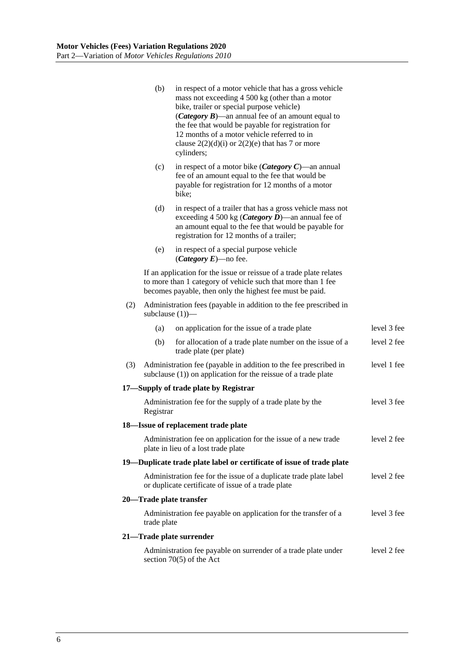|     | (b)                                                                                                                                    | in respect of a motor vehicle that has a gross vehicle<br>mass not exceeding 4 500 kg (other than a motor<br>bike, trailer or special purpose vehicle)<br>( <i>Category B</i> )—an annual fee of an amount equal to<br>the fee that would be payable for registration for<br>12 months of a motor vehicle referred to in<br>clause $2(2)(d)(i)$ or $2(2)(e)$ that has 7 or more<br>cylinders; |             |  |  |  |  |
|-----|----------------------------------------------------------------------------------------------------------------------------------------|-----------------------------------------------------------------------------------------------------------------------------------------------------------------------------------------------------------------------------------------------------------------------------------------------------------------------------------------------------------------------------------------------|-------------|--|--|--|--|
|     | (c)                                                                                                                                    | in respect of a motor bike ( <i>Category C</i> )—an annual<br>fee of an amount equal to the fee that would be<br>payable for registration for 12 months of a motor<br>bike;                                                                                                                                                                                                                   |             |  |  |  |  |
|     | (d)                                                                                                                                    | in respect of a trailer that has a gross vehicle mass not<br>exceeding 4 500 kg ( <i>Category D</i> )—an annual fee of<br>an amount equal to the fee that would be payable for<br>registration for 12 months of a trailer;                                                                                                                                                                    |             |  |  |  |  |
|     | (e)                                                                                                                                    | in respect of a special purpose vehicle<br>( <i>Category E</i> )—no fee.                                                                                                                                                                                                                                                                                                                      |             |  |  |  |  |
|     |                                                                                                                                        | If an application for the issue or reissue of a trade plate relates<br>to more than 1 category of vehicle such that more than 1 fee<br>becomes payable, then only the highest fee must be paid.                                                                                                                                                                                               |             |  |  |  |  |
| (2) |                                                                                                                                        | Administration fees (payable in addition to the fee prescribed in<br>subclause $(1)$ ) $-$                                                                                                                                                                                                                                                                                                    |             |  |  |  |  |
|     | (a)                                                                                                                                    | on application for the issue of a trade plate                                                                                                                                                                                                                                                                                                                                                 | level 3 fee |  |  |  |  |
|     | (b)                                                                                                                                    | for allocation of a trade plate number on the issue of a<br>trade plate (per plate)                                                                                                                                                                                                                                                                                                           | level 2 fee |  |  |  |  |
| (3) |                                                                                                                                        | Administration fee (payable in addition to the fee prescribed in<br>subclause (1)) on application for the reissue of a trade plate                                                                                                                                                                                                                                                            | level 1 fee |  |  |  |  |
|     |                                                                                                                                        | 17-Supply of trade plate by Registrar                                                                                                                                                                                                                                                                                                                                                         |             |  |  |  |  |
|     | Registrar                                                                                                                              | Administration fee for the supply of a trade plate by the                                                                                                                                                                                                                                                                                                                                     | level 3 fee |  |  |  |  |
|     |                                                                                                                                        | 18—Issue of replacement trade plate                                                                                                                                                                                                                                                                                                                                                           |             |  |  |  |  |
|     |                                                                                                                                        | Administration fee on application for the issue of a new trade<br>plate in lieu of a lost trade plate                                                                                                                                                                                                                                                                                         | level 2 fee |  |  |  |  |
|     |                                                                                                                                        | 19—Duplicate trade plate label or certificate of issue of trade plate                                                                                                                                                                                                                                                                                                                         |             |  |  |  |  |
|     | Administration fee for the issue of a duplicate trade plate label<br>level 2 fee<br>or duplicate certificate of issue of a trade plate |                                                                                                                                                                                                                                                                                                                                                                                               |             |  |  |  |  |
|     | 20—Trade plate transfer                                                                                                                |                                                                                                                                                                                                                                                                                                                                                                                               |             |  |  |  |  |
|     | Administration fee payable on application for the transfer of a<br>trade plate                                                         | level 3 fee                                                                                                                                                                                                                                                                                                                                                                                   |             |  |  |  |  |
|     |                                                                                                                                        | 21-Trade plate surrender                                                                                                                                                                                                                                                                                                                                                                      |             |  |  |  |  |
|     | level 2 fee<br>Administration fee payable on surrender of a trade plate under<br>section $70(5)$ of the Act                            |                                                                                                                                                                                                                                                                                                                                                                                               |             |  |  |  |  |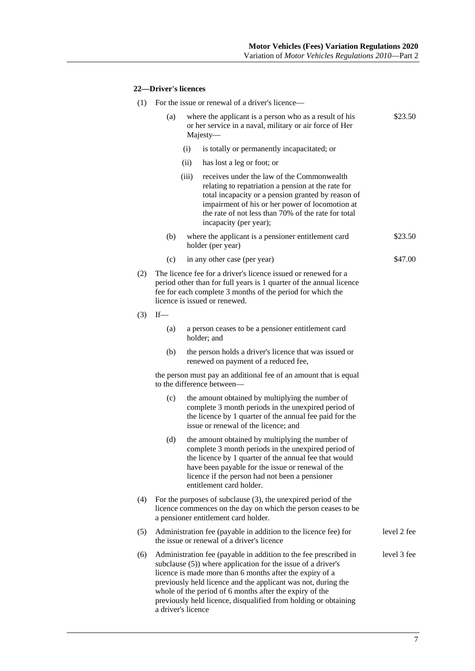## **22—Driver's licences**

|     |     | (1) For the issue or renewal of a driver's licence—                                                                                                                                                                                                                                                                                                                                                               |             |
|-----|-----|-------------------------------------------------------------------------------------------------------------------------------------------------------------------------------------------------------------------------------------------------------------------------------------------------------------------------------------------------------------------------------------------------------------------|-------------|
|     | (a) | where the applicant is a person who as a result of his<br>or her service in a naval, military or air force of Her<br>Majesty-                                                                                                                                                                                                                                                                                     | \$23.50     |
|     |     | (i)<br>is totally or permanently incapacitated; or                                                                                                                                                                                                                                                                                                                                                                |             |
|     |     | (ii)<br>has lost a leg or foot; or                                                                                                                                                                                                                                                                                                                                                                                |             |
|     |     | receives under the law of the Commonwealth<br>(iii)<br>relating to repatriation a pension at the rate for<br>total incapacity or a pension granted by reason of<br>impairment of his or her power of locomotion at<br>the rate of not less than 70% of the rate for total<br>incapacity (per year);                                                                                                               |             |
|     | (b) | where the applicant is a pensioner entitlement card<br>holder (per year)                                                                                                                                                                                                                                                                                                                                          | \$23.50     |
|     | (c) | in any other case (per year)                                                                                                                                                                                                                                                                                                                                                                                      | \$47.00     |
| (2) |     | The licence fee for a driver's licence issued or renewed for a<br>period other than for full years is 1 quarter of the annual licence<br>fee for each complete 3 months of the period for which the<br>licence is issued or renewed.                                                                                                                                                                              |             |
| (3) | If  |                                                                                                                                                                                                                                                                                                                                                                                                                   |             |
|     | (a) | a person ceases to be a pensioner entitlement card<br>holder; and                                                                                                                                                                                                                                                                                                                                                 |             |
|     | (b) | the person holds a driver's licence that was issued or<br>renewed on payment of a reduced fee,                                                                                                                                                                                                                                                                                                                    |             |
|     |     | the person must pay an additional fee of an amount that is equal<br>to the difference between—                                                                                                                                                                                                                                                                                                                    |             |
|     | (c) | the amount obtained by multiplying the number of<br>complete 3 month periods in the unexpired period of<br>the licence by 1 quarter of the annual fee paid for the<br>issue or renewal of the licence; and                                                                                                                                                                                                        |             |
|     | (d) | the amount obtained by multiplying the number of<br>complete 3 month periods in the unexpired period of<br>the licence by 1 quarter of the annual fee that would<br>have been payable for the issue or renewal of the<br>licence if the person had not been a pensioner<br>entitlement card holder.                                                                                                               |             |
| (4) |     | For the purposes of subclause $(3)$ , the unexpired period of the<br>licence commences on the day on which the person ceases to be<br>a pensioner entitlement card holder.                                                                                                                                                                                                                                        |             |
| (5) |     | Administration fee (payable in addition to the licence fee) for<br>the issue or renewal of a driver's licence                                                                                                                                                                                                                                                                                                     | level 2 fee |
| (6) |     | Administration fee (payable in addition to the fee prescribed in<br>subclause (5)) where application for the issue of a driver's<br>licence is made more than 6 months after the expiry of a<br>previously held licence and the applicant was not, during the<br>whole of the period of 6 months after the expiry of the<br>previously held licence, disqualified from holding or obtaining<br>a driver's licence | level 3 fee |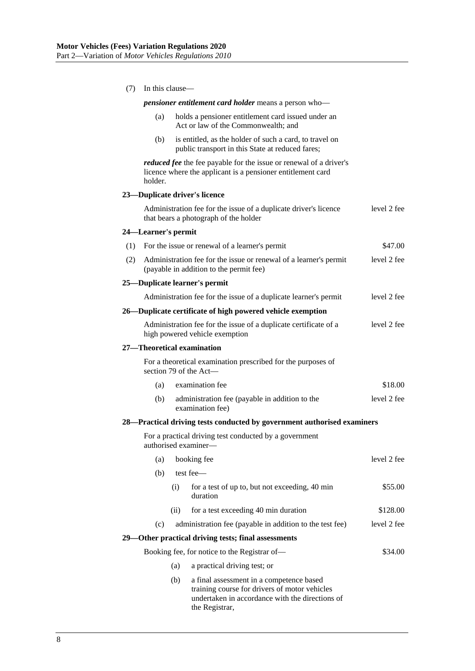| (7) | In this clause—     |      |                                                                                                                                              |             |  |
|-----|---------------------|------|----------------------------------------------------------------------------------------------------------------------------------------------|-------------|--|
|     |                     |      | <i>pensioner entitlement card holder means a person who</i> —                                                                                |             |  |
|     | (a)                 |      | holds a pensioner entitlement card issued under an<br>Act or law of the Commonwealth; and                                                    |             |  |
|     | (b)                 |      | is entitled, as the holder of such a card, to travel on<br>public transport in this State at reduced fares;                                  |             |  |
|     | holder.             |      | <i>reduced fee</i> the fee payable for the issue or renewal of a driver's<br>licence where the applicant is a pensioner entitlement card     |             |  |
|     |                     |      | 23-Duplicate driver's licence                                                                                                                |             |  |
|     |                     |      | Administration fee for the issue of a duplicate driver's licence<br>that bears a photograph of the holder                                    | level 2 fee |  |
|     | 24—Learner's permit |      |                                                                                                                                              |             |  |
| (1) |                     |      | For the issue or renewal of a learner's permit                                                                                               | \$47.00     |  |
| (2) |                     |      | Administration fee for the issue or renewal of a learner's permit<br>(payable in addition to the permit fee)                                 | level 2 fee |  |
|     |                     |      | 25-Duplicate learner's permit                                                                                                                |             |  |
|     |                     |      | Administration fee for the issue of a duplicate learner's permit                                                                             | level 2 fee |  |
|     |                     |      | 26—Duplicate certificate of high powered vehicle exemption                                                                                   |             |  |
|     |                     |      | Administration fee for the issue of a duplicate certificate of a<br>high powered vehicle exemption                                           | level 2 fee |  |
|     |                     |      | 27-Theoretical examination                                                                                                                   |             |  |
|     |                     |      | For a theoretical examination prescribed for the purposes of<br>section 79 of the Act-                                                       |             |  |
|     | (a)                 |      | examination fee                                                                                                                              | \$18.00     |  |
|     | (b)                 |      | administration fee (payable in addition to the<br>examination fee)                                                                           | level 2 fee |  |
|     |                     |      | 28—Practical driving tests conducted by government authorised examiners                                                                      |             |  |
|     |                     |      | For a practical driving test conducted by a government<br>authorised examiner-                                                               |             |  |
|     | (a)                 |      | booking fee                                                                                                                                  | level 2 fee |  |
|     | (b)                 |      | test fee-                                                                                                                                    |             |  |
|     |                     | (i)  | for a test of up to, but not exceeding, 40 min<br>duration                                                                                   | \$55.00     |  |
|     |                     | (ii) | for a test exceeding 40 min duration                                                                                                         | \$128.00    |  |
|     | (c)                 |      | administration fee (payable in addition to the test fee)                                                                                     | level 2 fee |  |
|     |                     |      | 29—Other practical driving tests; final assessments                                                                                          |             |  |
|     |                     |      | Booking fee, for notice to the Registrar of-                                                                                                 | \$34.00     |  |
|     |                     | (a)  | a practical driving test; or                                                                                                                 |             |  |
|     |                     | (b)  | a final assessment in a competence based<br>training course for drivers of motor vehicles<br>undertaken in accordance with the directions of |             |  |

the Registrar,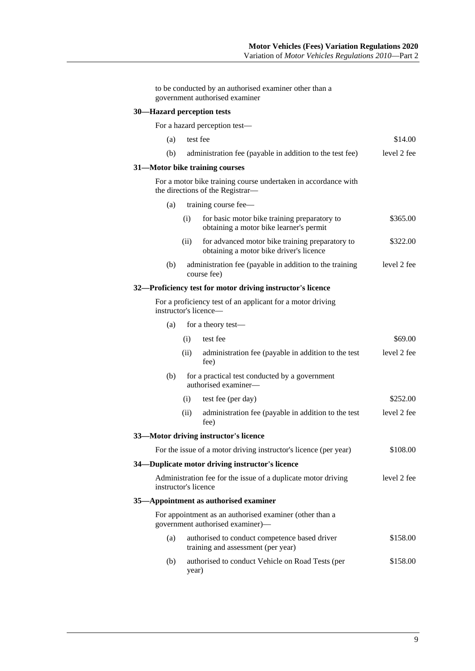|                            |       | to be conducted by an authorised examiner other than a<br>government authorised examiner           |             |
|----------------------------|-------|----------------------------------------------------------------------------------------------------|-------------|
| 30—Hazard perception tests |       |                                                                                                    |             |
|                            |       | For a hazard perception test—                                                                      |             |
| (a)                        |       | test fee                                                                                           | \$14.00     |
| (b)                        |       | administration fee (payable in addition to the test fee)                                           | level 2 fee |
|                            |       | 31—Motor bike training courses                                                                     |             |
|                            |       | For a motor bike training course undertaken in accordance with<br>the directions of the Registrar- |             |
| (a)                        |       | training course fee-                                                                               |             |
|                            | (i)   | for basic motor bike training preparatory to<br>obtaining a motor bike learner's permit            | \$365.00    |
|                            | (ii)  | for advanced motor bike training preparatory to<br>obtaining a motor bike driver's licence         | \$322.00    |
| (b)                        |       | administration fee (payable in addition to the training<br>course fee)                             | level 2 fee |
|                            |       | 32—Proficiency test for motor driving instructor's licence                                         |             |
|                            |       | For a proficiency test of an applicant for a motor driving<br>instructor's licence—                |             |
| (a)                        |       | for a theory test-                                                                                 |             |
|                            | (i)   | test fee                                                                                           | \$69.00     |
|                            | (ii)  | administration fee (payable in addition to the test<br>fee)                                        | level 2 fee |
| (b)                        |       | for a practical test conducted by a government<br>authorised examiner—                             |             |
|                            | (i)   | test fee (per day)                                                                                 | \$252.00    |
|                            | (ii)  | administration fee (payable in addition to the test<br>fee)                                        | level 2 fee |
|                            |       | 33-Motor driving instructor's licence                                                              |             |
|                            |       | For the issue of a motor driving instructor's licence (per year)                                   | \$108.00    |
|                            |       | 34—Duplicate motor driving instructor's licence                                                    |             |
| instructor's licence       |       | Administration fee for the issue of a duplicate motor driving                                      | level 2 fee |
|                            |       | 35-Appointment as authorised examiner                                                              |             |
|                            |       | For appointment as an authorised examiner (other than a<br>government authorised examiner)-        |             |
| (a)                        |       | authorised to conduct competence based driver<br>training and assessment (per year)                | \$158.00    |
| (b)                        | year) | authorised to conduct Vehicle on Road Tests (per                                                   | \$158.00    |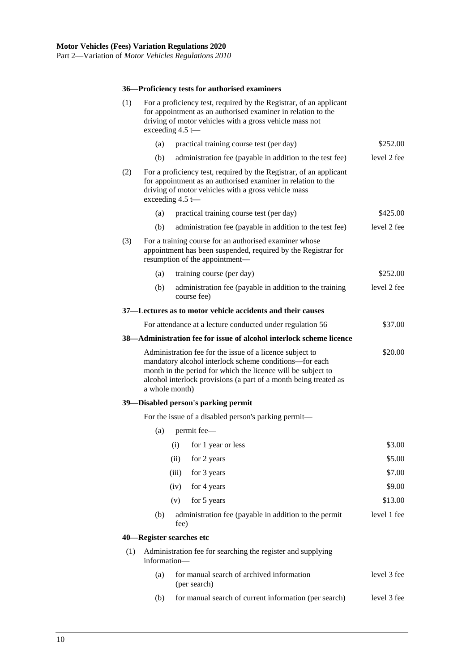### **36—Proficiency tests for authorised examiners**

| (1) | For a proficiency test, required by the Registrar, of an applicant<br>for appointment as an authorised examiner in relation to the<br>driving of motor vehicles with a gross vehicle mass not<br>exceeding $4.5 \leftarrow$                                                         |                                                                                                                                                                                                                 |             |  |  |  |  |
|-----|-------------------------------------------------------------------------------------------------------------------------------------------------------------------------------------------------------------------------------------------------------------------------------------|-----------------------------------------------------------------------------------------------------------------------------------------------------------------------------------------------------------------|-------------|--|--|--|--|
|     | (a)                                                                                                                                                                                                                                                                                 | practical training course test (per day)                                                                                                                                                                        | \$252.00    |  |  |  |  |
|     | (b)                                                                                                                                                                                                                                                                                 | administration fee (payable in addition to the test fee)                                                                                                                                                        | level 2 fee |  |  |  |  |
| (2) |                                                                                                                                                                                                                                                                                     | For a proficiency test, required by the Registrar, of an applicant<br>for appointment as an authorised examiner in relation to the<br>driving of motor vehicles with a gross vehicle mass<br>exceeding $4.5$ t- |             |  |  |  |  |
|     | (a)                                                                                                                                                                                                                                                                                 | practical training course test (per day)                                                                                                                                                                        | \$425.00    |  |  |  |  |
|     | (b)                                                                                                                                                                                                                                                                                 | administration fee (payable in addition to the test fee)                                                                                                                                                        | level 2 fee |  |  |  |  |
| (3) |                                                                                                                                                                                                                                                                                     | For a training course for an authorised examiner whose<br>appointment has been suspended, required by the Registrar for<br>resumption of the appointment-                                                       |             |  |  |  |  |
|     | (a)                                                                                                                                                                                                                                                                                 | training course (per day)                                                                                                                                                                                       | \$252.00    |  |  |  |  |
|     | (b)                                                                                                                                                                                                                                                                                 | administration fee (payable in addition to the training<br>course fee)                                                                                                                                          | level 2 fee |  |  |  |  |
|     |                                                                                                                                                                                                                                                                                     | 37—Lectures as to motor vehicle accidents and their causes                                                                                                                                                      |             |  |  |  |  |
|     |                                                                                                                                                                                                                                                                                     | For attendance at a lecture conducted under regulation 56                                                                                                                                                       | \$37.00     |  |  |  |  |
|     |                                                                                                                                                                                                                                                                                     | 38—Administration fee for issue of alcohol interlock scheme licence                                                                                                                                             |             |  |  |  |  |
|     | \$20.00<br>Administration fee for the issue of a licence subject to<br>mandatory alcohol interlock scheme conditions-for each<br>month in the period for which the licence will be subject to<br>alcohol interlock provisions (a part of a month being treated as<br>a whole month) |                                                                                                                                                                                                                 |             |  |  |  |  |
|     |                                                                                                                                                                                                                                                                                     | 39—Disabled person's parking permit                                                                                                                                                                             |             |  |  |  |  |
|     |                                                                                                                                                                                                                                                                                     | For the issue of a disabled person's parking permit—                                                                                                                                                            |             |  |  |  |  |
|     | (a)                                                                                                                                                                                                                                                                                 | permit fee—                                                                                                                                                                                                     |             |  |  |  |  |
|     |                                                                                                                                                                                                                                                                                     | (i)<br>for 1 year or less                                                                                                                                                                                       | \$3.00      |  |  |  |  |
|     |                                                                                                                                                                                                                                                                                     | (ii)<br>for 2 years                                                                                                                                                                                             | \$5.00      |  |  |  |  |
|     |                                                                                                                                                                                                                                                                                     | for 3 years<br>(iii)                                                                                                                                                                                            | \$7.00      |  |  |  |  |
|     |                                                                                                                                                                                                                                                                                     | for 4 years<br>(iv)                                                                                                                                                                                             | \$9.00      |  |  |  |  |
|     |                                                                                                                                                                                                                                                                                     | for 5 years<br>(v)                                                                                                                                                                                              | \$13.00     |  |  |  |  |
|     | (b)                                                                                                                                                                                                                                                                                 | administration fee (payable in addition to the permit<br>fee)                                                                                                                                                   | level 1 fee |  |  |  |  |
|     |                                                                                                                                                                                                                                                                                     | 40—Register searches etc                                                                                                                                                                                        |             |  |  |  |  |
|     | Administration fee for searching the register and supplying<br>(1)<br>information-                                                                                                                                                                                                  |                                                                                                                                                                                                                 |             |  |  |  |  |
|     | (a)                                                                                                                                                                                                                                                                                 | for manual search of archived information<br>(per search)                                                                                                                                                       | level 3 fee |  |  |  |  |
|     | for manual search of current information (per search)<br>(b)                                                                                                                                                                                                                        |                                                                                                                                                                                                                 |             |  |  |  |  |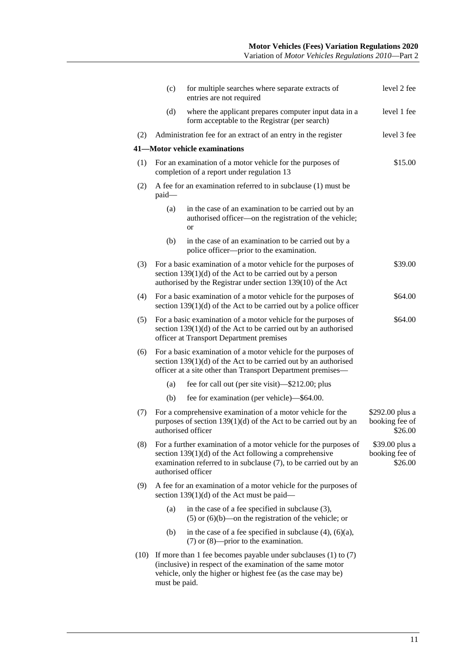|      | (c)                                                           | for multiple searches where separate extracts of<br>entries are not required                                                                                                                                            | level 2 fee                                  |  |  |
|------|---------------------------------------------------------------|-------------------------------------------------------------------------------------------------------------------------------------------------------------------------------------------------------------------------|----------------------------------------------|--|--|
|      | (d)                                                           | where the applicant prepares computer input data in a<br>form acceptable to the Registrar (per search)                                                                                                                  | level 1 fee                                  |  |  |
| (2)  | Administration fee for an extract of an entry in the register | level 3 fee                                                                                                                                                                                                             |                                              |  |  |
|      |                                                               | 41-Motor vehicle examinations                                                                                                                                                                                           |                                              |  |  |
| (1)  |                                                               | For an examination of a motor vehicle for the purposes of<br>completion of a report under regulation 13                                                                                                                 |                                              |  |  |
| (2)  | paid-                                                         | A fee for an examination referred to in subclause (1) must be                                                                                                                                                           |                                              |  |  |
|      | (a)                                                           | in the case of an examination to be carried out by an<br>authorised officer-on the registration of the vehicle;<br><b>or</b>                                                                                            |                                              |  |  |
|      | (b)                                                           | in the case of an examination to be carried out by a<br>police officer---prior to the examination.                                                                                                                      |                                              |  |  |
| (3)  |                                                               | For a basic examination of a motor vehicle for the purposes of<br>section $139(1)(d)$ of the Act to be carried out by a person<br>authorised by the Registrar under section 139(10) of the Act                          | \$39.00                                      |  |  |
| (4)  |                                                               | For a basic examination of a motor vehicle for the purposes of<br>section $139(1)(d)$ of the Act to be carried out by a police officer                                                                                  | \$64.00                                      |  |  |
| (5)  |                                                               | For a basic examination of a motor vehicle for the purposes of<br>section $139(1)(d)$ of the Act to be carried out by an authorised<br>officer at Transport Department premises                                         | \$64.00                                      |  |  |
| (6)  |                                                               | For a basic examination of a motor vehicle for the purposes of<br>section $139(1)(d)$ of the Act to be carried out by an authorised<br>officer at a site other than Transport Department premises-                      |                                              |  |  |
|      | (a)                                                           | fee for call out (per site visit)—\$212.00; plus                                                                                                                                                                        |                                              |  |  |
|      | (b)                                                           | fee for examination (per vehicle)—\$64.00.                                                                                                                                                                              |                                              |  |  |
| (7)  |                                                               | For a comprehensive examination of a motor vehicle for the<br>purposes of section $139(1)(d)$ of the Act to be carried out by an<br>authorised officer                                                                  | \$292.00 plus a<br>booking fee of<br>\$26.00 |  |  |
| (8)  |                                                               | For a further examination of a motor vehicle for the purposes of<br>section $139(1)(d)$ of the Act following a comprehensive<br>examination referred to in subclause (7), to be carried out by an<br>authorised officer | \$39.00 plus a<br>booking fee of<br>\$26.00  |  |  |
| (9)  |                                                               | A fee for an examination of a motor vehicle for the purposes of<br>section 139 $(1)(d)$ of the Act must be paid—                                                                                                        |                                              |  |  |
|      | (a)                                                           | in the case of a fee specified in subclause $(3)$ ,<br>$(5)$ or $(6)(b)$ —on the registration of the vehicle; or                                                                                                        |                                              |  |  |
|      | (b)                                                           | in the case of a fee specified in subclause $(4)$ , $(6)(a)$ ,<br>$(7)$ or $(8)$ —prior to the examination.                                                                                                             |                                              |  |  |
| (10) | must be paid.                                                 | If more than 1 fee becomes payable under subclauses $(1)$ to $(7)$<br>(inclusive) in respect of the examination of the same motor<br>vehicle, only the higher or highest fee (as the case may be)                       |                                              |  |  |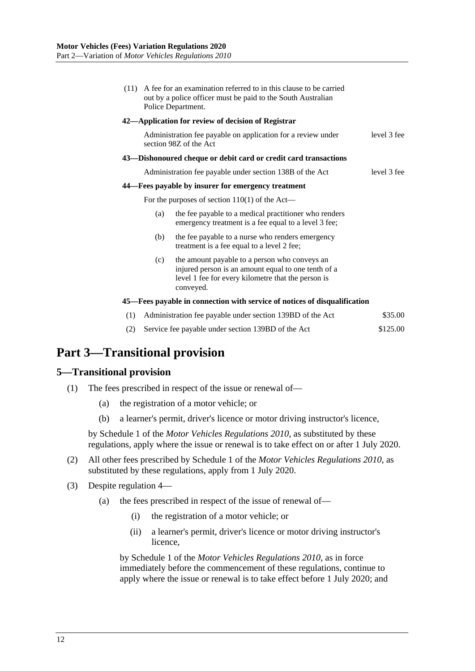|     |     | (11) A fee for an examination referred to in this clause to be carried<br>out by a police officer must be paid to the South Australian<br>Police Department.            |             |
|-----|-----|-------------------------------------------------------------------------------------------------------------------------------------------------------------------------|-------------|
|     |     | 42—Application for review of decision of Registrar                                                                                                                      |             |
|     |     | Administration fee payable on application for a review under<br>section 98Z of the Act                                                                                  | level 3 fee |
|     |     | 43—Dishonoured cheque or debit card or credit card transactions                                                                                                         |             |
|     |     | Administration fee payable under section 138B of the Act                                                                                                                | level 3 fee |
|     |     | 44—Fees payable by insurer for emergency treatment                                                                                                                      |             |
|     |     | For the purposes of section $110(1)$ of the Act—                                                                                                                        |             |
|     | (a) | the fee payable to a medical practitioner who renders<br>emergency treatment is a fee equal to a level 3 fee;                                                           |             |
|     | (b) | the fee payable to a nurse who renders emergency<br>treatment is a fee equal to a level 2 fee;                                                                          |             |
|     | (c) | the amount payable to a person who conveys an<br>injured person is an amount equal to one tenth of a<br>level 1 fee for every kilometre that the person is<br>conveyed. |             |
|     |     | 45—Fees payable in connection with service of notices of disqualification                                                                                               |             |
| (1) |     | Administration fee payable under section 139BD of the Act                                                                                                               | \$35.00     |
|     |     |                                                                                                                                                                         |             |

(2) Service fee payable under section 139BD of the Act \$125.00

# <span id="page-11-0"></span>**Part 3—Transitional provision**

## <span id="page-11-1"></span>**5—Transitional provision**

- (1) The fees prescribed in respect of the issue or renewal of—
	- (a) the registration of a motor vehicle; or
	- (b) a learner's permit, driver's licence or motor driving instructor's licence,

by Schedule 1 of the *[Motor Vehicles Regulations](http://www.legislation.sa.gov.au/index.aspx?action=legref&type=subordleg&legtitle=Motor%20Vehicles%20Regulations%202010) 2010*, as substituted by these regulations, apply where the issue or renewal is to take effect on or after 1 July 2020.

- (2) All other fees prescribed by Schedule 1 of the *[Motor Vehicles Regulations](http://www.legislation.sa.gov.au/index.aspx?action=legref&type=subordleg&legtitle=Motor%20Vehicles%20Regulations%202010) 2010*, as substituted by these regulations, apply from 1 July 2020.
- (3) Despite [regulation](#page-0-5) 4—
	- (a) the fees prescribed in respect of the issue of renewal of—
		- (i) the registration of a motor vehicle; or
		- (ii) a learner's permit, driver's licence or motor driving instructor's licence,

by Schedule 1 of the *[Motor Vehicles Regulations](http://www.legislation.sa.gov.au/index.aspx?action=legref&type=subordleg&legtitle=Motor%20Vehicles%20Regulations%202010) 2010*, as in force immediately before the commencement of these regulations, continue to apply where the issue or renewal is to take effect before 1 July 2020; and